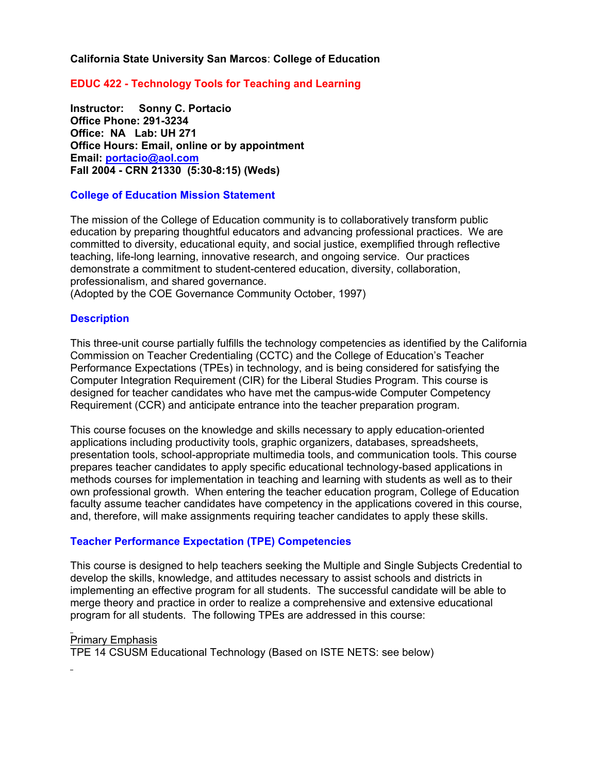### **California State University San Marcos**: **College of Education**

## **EDUC 422 - Technology Tools for Teaching and Learning**

**Instructor: Sonny C. Portacio Office Phone: 291-3234 Office: NA Lab: UH 271 Office Hours: Email, online or by appointment Email: portacio@aol.com Fall 2004 - CRN 21330 (5:30-8:15) (Weds)**

#### **College of Education Mission Statement**

The mission of the College of Education community is to collaboratively transform public education by preparing thoughtful educators and advancing professional practices. We are committed to diversity, educational equity, and social justice, exemplified through reflective teaching, life-long learning, innovative research, and ongoing service. Our practices demonstrate a commitment to student-centered education, diversity, collaboration, professionalism, and shared governance.

(Adopted by the COE Governance Community October, 1997)

### **Description**

This three-unit course partially fulfills the technology competencies as identified by the California Commission on Teacher Credentialing (CCTC) and the College of Education's Teacher Performance Expectations (TPEs) in technology, and is being considered for satisfying the Computer Integration Requirement (CIR) for the Liberal Studies Program. This course is designed for teacher candidates who have met the campus-wide Computer Competency Requirement (CCR) and anticipate entrance into the teacher preparation program.

This course focuses on the knowledge and skills necessary to apply education-oriented applications including productivity tools, graphic organizers, databases, spreadsheets, presentation tools, school-appropriate multimedia tools, and communication tools. This course prepares teacher candidates to apply specific educational technology-based applications in methods courses for implementation in teaching and learning with students as well as to their own professional growth. When entering the teacher education program, College of Education faculty assume teacher candidates have competency in the applications covered in this course, and, therefore, will make assignments requiring teacher candidates to apply these skills.

### **Teacher Performance Expectation (TPE) Competencies**

This course is designed to help teachers seeking the Multiple and Single Subjects Credential to develop the skills, knowledge, and attitudes necessary to assist schools and districts in implementing an effective program for all students. The successful candidate will be able to merge theory and practice in order to realize a comprehensive and extensive educational program for all students. The following TPEs are addressed in this course:

### Primary Emphasis

TPE 14 CSUSM Educational Technology (Based on ISTE NETS: see below)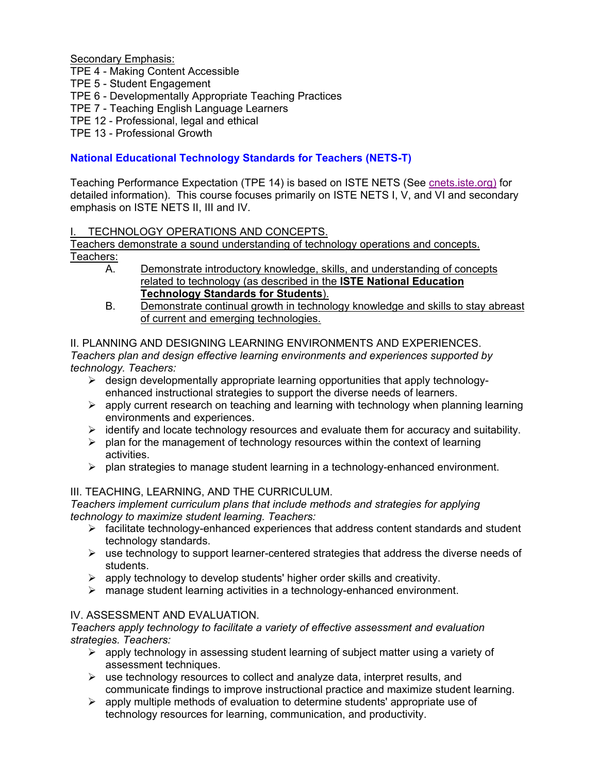Secondary Emphasis:

TPE 4 - Making Content Accessible

TPE 5 - Student Engagement

TPE 6 - Developmentally Appropriate Teaching Practices

- TPE 7 Teaching English Language Learners
- TPE 12 Professional, legal and ethical

TPE 13 - Professional Growth

# **National Educational Technology Standards for Teachers (NETS-T)**

Teaching Performance Expectation (TPE 14) is based on ISTE NETS (See cnets.iste.org) for detailed information). This course focuses primarily on ISTE NETS I, V, and VI and secondary emphasis on ISTE NETS II, III and IV.

## TECHNOLOGY OPERATIONS AND CONCEPTS.

Teachers demonstrate a sound understanding of technology operations and concepts. Teachers:

- A. Demonstrate introductory knowledge, skills, and understanding of concepts related to technology (as described in the **ISTE National Education Technology Standards for Students**).
- B. Demonstrate continual growth in technology knowledge and skills to stay abreast of current and emerging technologies.

### II. PLANNING AND DESIGNING LEARNING ENVIRONMENTS AND EXPERIENCES. *Teachers plan and design effective learning environments and experiences supported by technology. Teachers:*

- $\triangleright$  design developmentally appropriate learning opportunities that apply technologyenhanced instructional strategies to support the diverse needs of learners.
- $\triangleright$  apply current research on teaching and learning with technology when planning learning environments and experiences.
- $\triangleright$  identify and locate technology resources and evaluate them for accuracy and suitability.
- $\triangleright$  plan for the management of technology resources within the context of learning activities.
- $\triangleright$  plan strategies to manage student learning in a technology-enhanced environment.

## III. TEACHING, LEARNING, AND THE CURRICULUM.

*Teachers implement curriculum plans that include methods and strategies for applying technology to maximize student learning. Teachers:* 

- $\triangleright$  facilitate technology-enhanced experiences that address content standards and student technology standards.
- $\triangleright$  use technology to support learner-centered strategies that address the diverse needs of students.
- $\triangleright$  apply technology to develop students' higher order skills and creativity.
- $\triangleright$  manage student learning activities in a technology-enhanced environment.

## IV. ASSESSMENT AND EVALUATION.

*Teachers apply technology to facilitate a variety of effective assessment and evaluation strategies. Teachers:* 

- $\triangleright$  apply technology in assessing student learning of subject matter using a variety of assessment techniques.
- $\triangleright$  use technology resources to collect and analyze data, interpret results, and communicate findings to improve instructional practice and maximize student learning.
- $\triangleright$  apply multiple methods of evaluation to determine students' appropriate use of technology resources for learning, communication, and productivity.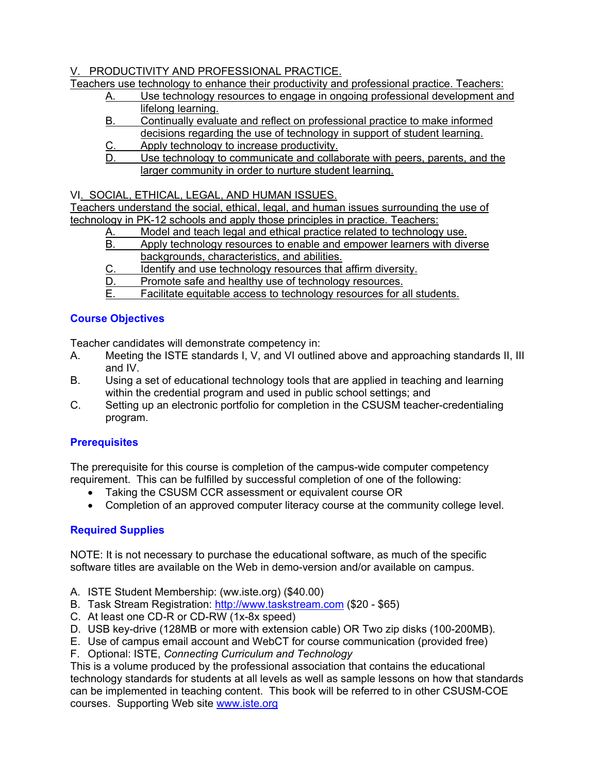# V. PRODUCTIVITY AND PROFESSIONAL PRACTICE.

Teachers use technology to enhance their productivity and professional practice. Teachers:

- A. Use technology resources to engage in ongoing professional development and lifelong learning.
- B. Continually evaluate and reflect on professional practice to make informed decisions regarding the use of technology in support of student learning.
- C. Apply technology to increase productivity.
- D. Use technology to communicate and collaborate with peers, parents, and the larger community in order to nurture student learning.

VI. SOCIAL, ETHICAL, LEGAL, AND HUMAN ISSUES.

Teachers understand the social, ethical, legal, and human issues surrounding the use of technology in PK-12 schools and apply those principles in practice. Teachers:

- A. Model and teach legal and ethical practice related to technology use.
- B. Apply technology resources to enable and empower learners with diverse backgrounds, characteristics, and abilities.
- C. Identify and use technology resources that affirm diversity.
- D. Promote safe and healthy use of technology resources.
- E. Facilitate equitable access to technology resources for all students.

# **Course Objectives**

Teacher candidates will demonstrate competency in:

- A. Meeting the ISTE standards I, V, and VI outlined above and approaching standards II, III and IV.
- B. Using a set of educational technology tools that are applied in teaching and learning within the credential program and used in public school settings; and
- C. Setting up an electronic portfolio for completion in the CSUSM teacher-credentialing program.

# **Prerequisites**

The prerequisite for this course is completion of the campus-wide computer competency requirement. This can be fulfilled by successful completion of one of the following:

- Taking the CSUSM CCR assessment or equivalent course OR
- Completion of an approved computer literacy course at the community college level.

# **Required Supplies**

NOTE: It is not necessary to purchase the educational software, as much of the specific software titles are available on the Web in demo-version and/or available on campus.

- A. ISTE Student Membership: (ww.iste.org) (\$40.00)
- B. Task Stream Registration: http://www.taskstream.com (\$20 \$65)
- C. At least one CD-R or CD-RW (1x-8x speed)
- D. USB key-drive (128MB or more with extension cable) OR Two zip disks (100-200MB).
- E. Use of campus email account and WebCT for course communication (provided free)
- F. Optional: ISTE, *Connecting Curriculum and Technology*

This is a volume produced by the professional association that contains the educational technology standards for students at all levels as well as sample lessons on how that standards can be implemented in teaching content. This book will be referred to in other CSUSM-COE courses. Supporting Web site www.iste.org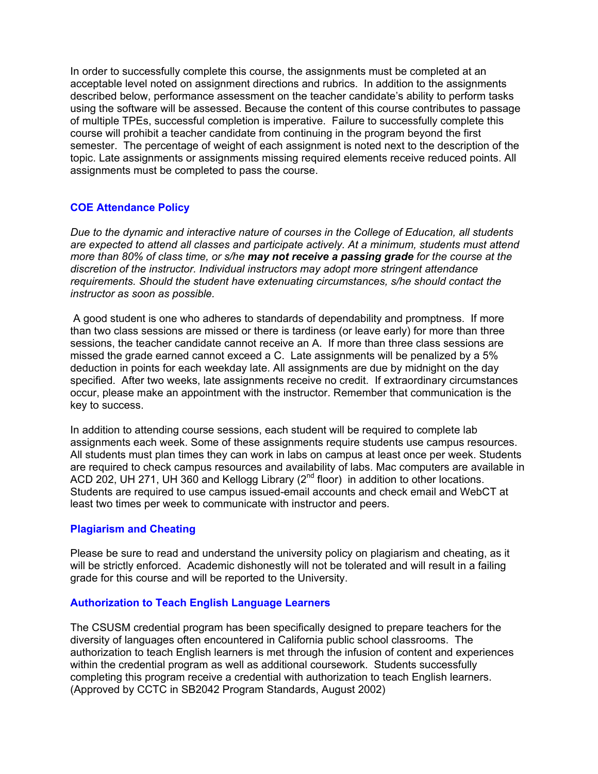In order to successfully complete this course, the assignments must be completed at an acceptable level noted on assignment directions and rubrics. In addition to the assignments described below, performance assessment on the teacher candidate's ability to perform tasks using the software will be assessed. Because the content of this course contributes to passage of multiple TPEs, successful completion is imperative. Failure to successfully complete this course will prohibit a teacher candidate from continuing in the program beyond the first semester. The percentage of weight of each assignment is noted next to the description of the topic. Late assignments or assignments missing required elements receive reduced points. All assignments must be completed to pass the course.

## **COE Attendance Policy**

*Due to the dynamic and interactive nature of courses in the College of Education, all students are expected to attend all classes and participate actively. At a minimum, students must attend more than 80% of class time, or s/he may not receive a passing grade for the course at the discretion of the instructor. Individual instructors may adopt more stringent attendance requirements. Should the student have extenuating circumstances, s/he should contact the instructor as soon as possible.*

 A good student is one who adheres to standards of dependability and promptness. If more than two class sessions are missed or there is tardiness (or leave early) for more than three sessions, the teacher candidate cannot receive an A. If more than three class sessions are missed the grade earned cannot exceed a C. Late assignments will be penalized by a 5% deduction in points for each weekday late. All assignments are due by midnight on the day specified. After two weeks, late assignments receive no credit. If extraordinary circumstances occur, please make an appointment with the instructor. Remember that communication is the key to success.

In addition to attending course sessions, each student will be required to complete lab assignments each week. Some of these assignments require students use campus resources. All students must plan times they can work in labs on campus at least once per week. Students are required to check campus resources and availability of labs. Mac computers are available in ACD 202, UH 271, UH 360 and Kellogg Library ( $2<sup>nd</sup>$  floor) in addition to other locations. Students are required to use campus issued-email accounts and check email and WebCT at least two times per week to communicate with instructor and peers.

### **Plagiarism and Cheating**

Please be sure to read and understand the university policy on plagiarism and cheating, as it will be strictly enforced. Academic dishonestly will not be tolerated and will result in a failing grade for this course and will be reported to the University.

### **Authorization to Teach English Language Learners**

The CSUSM credential program has been specifically designed to prepare teachers for the diversity of languages often encountered in California public school classrooms. The authorization to teach English learners is met through the infusion of content and experiences within the credential program as well as additional coursework. Students successfully completing this program receive a credential with authorization to teach English learners. (Approved by CCTC in SB2042 Program Standards, August 2002)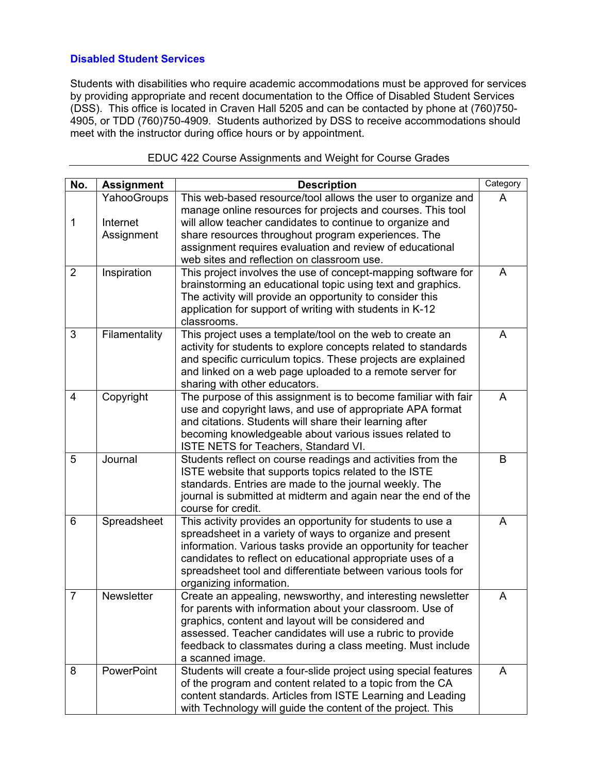# **Disabled Student Services**

Students with disabilities who require academic accommodations must be approved for services by providing appropriate and recent documentation to the Office of Disabled Student Services (DSS). This office is located in Craven Hall 5205 and can be contacted by phone at (760)750- 4905, or TDD (760)750-4909. Students authorized by DSS to receive accommodations should meet with the instructor during office hours or by appointment.

| No.            | <b>Assignment</b>                     | <b>Description</b>                                                                                                                                                                                                                                                                                                                                | Category |
|----------------|---------------------------------------|---------------------------------------------------------------------------------------------------------------------------------------------------------------------------------------------------------------------------------------------------------------------------------------------------------------------------------------------------|----------|
| 1              | YahooGroups<br>Internet<br>Assignment | This web-based resource/tool allows the user to organize and<br>manage online resources for projects and courses. This tool<br>will allow teacher candidates to continue to organize and<br>share resources throughout program experiences. The                                                                                                   | A        |
|                |                                       | assignment requires evaluation and review of educational<br>web sites and reflection on classroom use.                                                                                                                                                                                                                                            |          |
| $\overline{2}$ | Inspiration                           | This project involves the use of concept-mapping software for<br>brainstorming an educational topic using text and graphics.<br>The activity will provide an opportunity to consider this<br>application for support of writing with students in K-12<br>classrooms.                                                                              | A        |
| 3              | Filamentality                         | This project uses a template/tool on the web to create an<br>activity for students to explore concepts related to standards<br>and specific curriculum topics. These projects are explained<br>and linked on a web page uploaded to a remote server for<br>sharing with other educators.                                                          | A        |
| $\overline{4}$ | Copyright                             | The purpose of this assignment is to become familiar with fair<br>use and copyright laws, and use of appropriate APA format<br>and citations. Students will share their learning after<br>becoming knowledgeable about various issues related to<br>ISTE NETS for Teachers, Standard VI.                                                          | A        |
| 5              | Journal                               | Students reflect on course readings and activities from the<br>ISTE website that supports topics related to the ISTE<br>standards. Entries are made to the journal weekly. The<br>journal is submitted at midterm and again near the end of the<br>course for credit.                                                                             | B        |
| 6              | Spreadsheet                           | This activity provides an opportunity for students to use a<br>spreadsheet in a variety of ways to organize and present<br>information. Various tasks provide an opportunity for teacher<br>candidates to reflect on educational appropriate uses of a<br>spreadsheet tool and differentiate between various tools for<br>organizing information. | A        |
| $\overline{7}$ | Newsletter                            | Create an appealing, newsworthy, and interesting newsletter<br>for parents with information about your classroom. Use of<br>graphics, content and layout will be considered and<br>assessed. Teacher candidates will use a rubric to provide<br>feedback to classmates during a class meeting. Must include<br>a scanned image.                   | A        |
| 8              | PowerPoint                            | Students will create a four-slide project using special features<br>of the program and content related to a topic from the CA<br>content standards. Articles from ISTE Learning and Leading<br>with Technology will guide the content of the project. This                                                                                        | A        |

### EDUC 422 Course Assignments and Weight for Course Grades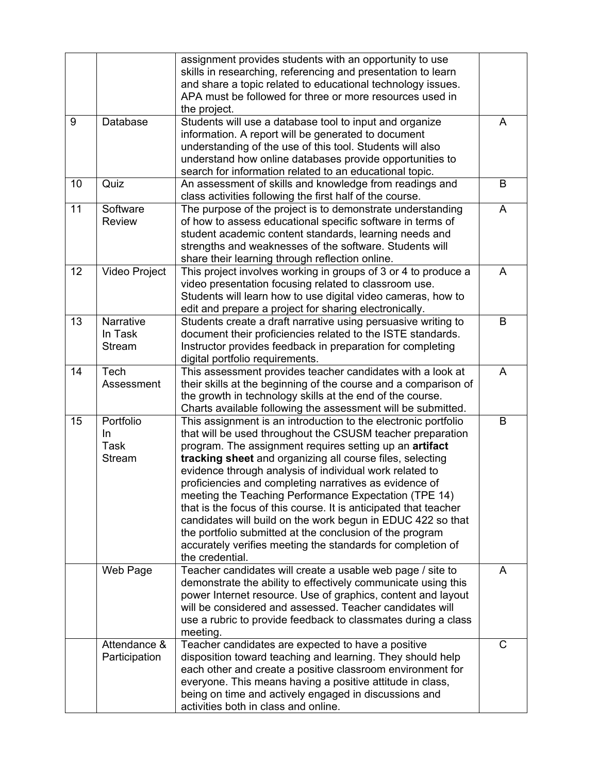|    |                                                        | assignment provides students with an opportunity to use<br>skills in researching, referencing and presentation to learn<br>and share a topic related to educational technology issues.<br>APA must be followed for three or more resources used in<br>the project.                                                                                                                                                                                                                                                                                                                                                                                                                                                  |   |
|----|--------------------------------------------------------|---------------------------------------------------------------------------------------------------------------------------------------------------------------------------------------------------------------------------------------------------------------------------------------------------------------------------------------------------------------------------------------------------------------------------------------------------------------------------------------------------------------------------------------------------------------------------------------------------------------------------------------------------------------------------------------------------------------------|---|
| 9  | Database                                               | Students will use a database tool to input and organize<br>information. A report will be generated to document<br>understanding of the use of this tool. Students will also<br>understand how online databases provide opportunities to<br>search for information related to an educational topic.                                                                                                                                                                                                                                                                                                                                                                                                                  | A |
| 10 | Quiz                                                   | An assessment of skills and knowledge from readings and<br>class activities following the first half of the course.                                                                                                                                                                                                                                                                                                                                                                                                                                                                                                                                                                                                 | B |
| 11 | Software<br><b>Review</b>                              | The purpose of the project is to demonstrate understanding<br>of how to assess educational specific software in terms of<br>student academic content standards, learning needs and<br>strengths and weaknesses of the software. Students will<br>share their learning through reflection online.                                                                                                                                                                                                                                                                                                                                                                                                                    | A |
| 12 | <b>Video Project</b>                                   | This project involves working in groups of 3 or 4 to produce a<br>video presentation focusing related to classroom use.<br>Students will learn how to use digital video cameras, how to<br>edit and prepare a project for sharing electronically.                                                                                                                                                                                                                                                                                                                                                                                                                                                                   | A |
| 13 | Narrative<br>In Task<br><b>Stream</b>                  | Students create a draft narrative using persuasive writing to<br>document their proficiencies related to the ISTE standards.<br>Instructor provides feedback in preparation for completing<br>digital portfolio requirements.                                                                                                                                                                                                                                                                                                                                                                                                                                                                                       | B |
| 14 | Tech<br>Assessment                                     | This assessment provides teacher candidates with a look at<br>their skills at the beginning of the course and a comparison of<br>the growth in technology skills at the end of the course.<br>Charts available following the assessment will be submitted.                                                                                                                                                                                                                                                                                                                                                                                                                                                          | A |
| 15 | Portfolio<br><b>In</b><br><b>Task</b><br><b>Stream</b> | This assignment is an introduction to the electronic portfolio<br>that will be used throughout the CSUSM teacher preparation<br>program. The assignment requires setting up an artifact<br>tracking sheet and organizing all course files, selecting<br>evidence through analysis of individual work related to<br>proficiencies and completing narratives as evidence of<br>meeting the Teaching Performance Expectation (TPE 14)<br>that is the focus of this course. It is anticipated that teacher<br>candidates will build on the work begun in EDUC 422 so that<br>the portfolio submitted at the conclusion of the program<br>accurately verifies meeting the standards for completion of<br>the credential. | B |
|    | Web Page                                               | Teacher candidates will create a usable web page / site to<br>demonstrate the ability to effectively communicate using this<br>power Internet resource. Use of graphics, content and layout<br>will be considered and assessed. Teacher candidates will<br>use a rubric to provide feedback to classmates during a class<br>meeting.                                                                                                                                                                                                                                                                                                                                                                                | A |
|    | Attendance &<br>Participation                          | Teacher candidates are expected to have a positive<br>disposition toward teaching and learning. They should help<br>each other and create a positive classroom environment for<br>everyone. This means having a positive attitude in class,<br>being on time and actively engaged in discussions and<br>activities both in class and online.                                                                                                                                                                                                                                                                                                                                                                        | C |